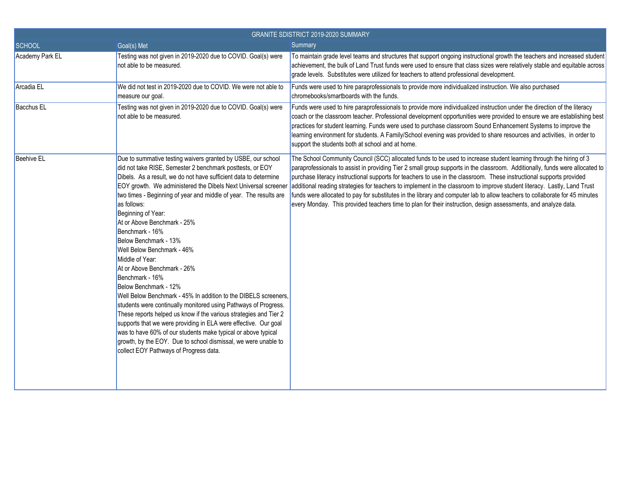| <b>GRANITE SDISTRICT 2019-2020 SUMMARY</b> |                                                                                                                                                                                                                                                                                                                                                                                                                                                                                                                                                                                                                                                                                                                                                                                                                                                                                                                                                                                                                                             |                                                                                                                                                                                                                                                                                                                                                                                                                                                                                                                                                                                                                                                                                                                                                         |
|--------------------------------------------|---------------------------------------------------------------------------------------------------------------------------------------------------------------------------------------------------------------------------------------------------------------------------------------------------------------------------------------------------------------------------------------------------------------------------------------------------------------------------------------------------------------------------------------------------------------------------------------------------------------------------------------------------------------------------------------------------------------------------------------------------------------------------------------------------------------------------------------------------------------------------------------------------------------------------------------------------------------------------------------------------------------------------------------------|---------------------------------------------------------------------------------------------------------------------------------------------------------------------------------------------------------------------------------------------------------------------------------------------------------------------------------------------------------------------------------------------------------------------------------------------------------------------------------------------------------------------------------------------------------------------------------------------------------------------------------------------------------------------------------------------------------------------------------------------------------|
| <b>SCHOOL</b>                              | Goal(s) Met                                                                                                                                                                                                                                                                                                                                                                                                                                                                                                                                                                                                                                                                                                                                                                                                                                                                                                                                                                                                                                 | Summary                                                                                                                                                                                                                                                                                                                                                                                                                                                                                                                                                                                                                                                                                                                                                 |
| Academy Park EL                            | Testing was not given in 2019-2020 due to COVID. Goal(s) were<br>not able to be measured.                                                                                                                                                                                                                                                                                                                                                                                                                                                                                                                                                                                                                                                                                                                                                                                                                                                                                                                                                   | To maintain grade level teams and structures that support ongoing instructional growth the teachers and increased student<br>achievement, the bulk of Land Trust funds were used to ensure that class sizes were relatively stable and equitable across<br>grade levels. Substitutes were utilized for teachers to attend professional development.                                                                                                                                                                                                                                                                                                                                                                                                     |
| Arcadia EL                                 | We did not test in 2019-2020 due to COVID. We were not able to<br>measure our goal.                                                                                                                                                                                                                                                                                                                                                                                                                                                                                                                                                                                                                                                                                                                                                                                                                                                                                                                                                         | Funds were used to hire paraprofessionals to provide more individualized instruction. We also purchased<br>chromebooks/smartboards with the funds.                                                                                                                                                                                                                                                                                                                                                                                                                                                                                                                                                                                                      |
| <b>Bacchus EL</b>                          | Testing was not given in 2019-2020 due to COVID. Goal(s) were<br>not able to be measured.                                                                                                                                                                                                                                                                                                                                                                                                                                                                                                                                                                                                                                                                                                                                                                                                                                                                                                                                                   | Funds were used to hire paraprofessionals to provide more individualized instruction under the direction of the literacy<br>coach or the classroom teacher. Professional development opportunities were provided to ensure we are establishing best<br>practices for student learning. Funds were used to purchase classroom Sound Enhancement Systems to improve the<br>learning environment for students. A Family/School evening was provided to share resources and activities, in order to<br>support the students both at school and at home.                                                                                                                                                                                                     |
| Beehive EL                                 | Due to summative testing waivers granted by USBE, our school<br>did not take RISE, Semester 2 benchmark posttests, or EOY<br>Dibels. As a result, we do not have sufficient data to determine<br>EOY growth. We administered the Dibels Next Universal screener<br>two times - Beginning of year and middle of year. The results are<br>as follows:<br>Beginning of Year:<br>At or Above Benchmark - 25%<br>Benchmark - 16%<br>Below Benchmark - 13%<br>Well Below Benchmark - 46%<br>Middle of Year:<br>At or Above Benchmark - 26%<br>Benchmark - 16%<br>Below Benchmark - 12%<br>Well Below Benchmark - 45% In addition to the DIBELS screeners,<br>students were continually monitored using Pathways of Progress.<br>These reports helped us know if the various strategies and Tier 2<br>supports that we were providing in ELA were effective. Our goal<br>was to have 60% of our students make typical or above typical<br>growth, by the EOY. Due to school dismissal, we were unable to<br>collect EOY Pathways of Progress data. | The School Community Council (SCC) allocated funds to be used to increase student learning through the hiring of 3<br>paraprofessionals to assist in providing Tier 2 small group supports in the classroom. Additionally, funds were allocated to<br>purchase literacy instructional supports for teachers to use in the classroom. These instructional supports provided<br>additional reading strategies for teachers to implement in the classroom to improve student literacy. Lastly, Land Trust<br>funds were allocated to pay for substitutes in the library and computer lab to allow teachers to collaborate for 45 minutes<br>every Monday. This provided teachers time to plan for their instruction, design assessments, and analyze data. |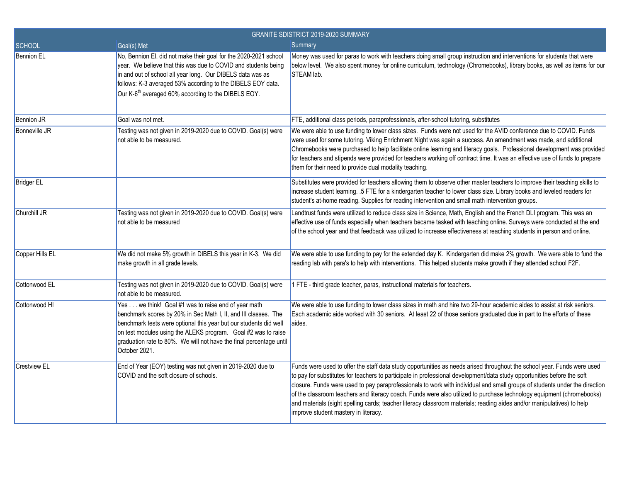| <b>GRANITE SDISTRICT 2019-2020 SUMMARY</b> |                                                                                                                                                                                                                                                                                                                                                      |                                                                                                                                                                                                                                                                                                                                                                                                                                                                                                                                                                                                                                                                             |
|--------------------------------------------|------------------------------------------------------------------------------------------------------------------------------------------------------------------------------------------------------------------------------------------------------------------------------------------------------------------------------------------------------|-----------------------------------------------------------------------------------------------------------------------------------------------------------------------------------------------------------------------------------------------------------------------------------------------------------------------------------------------------------------------------------------------------------------------------------------------------------------------------------------------------------------------------------------------------------------------------------------------------------------------------------------------------------------------------|
| <b>SCHOOL</b>                              | Goal(s) Met                                                                                                                                                                                                                                                                                                                                          | Summary                                                                                                                                                                                                                                                                                                                                                                                                                                                                                                                                                                                                                                                                     |
| <b>Bennion EL</b>                          | No, Bennion El. did not make their goal for the 2020-2021 school<br>year. We believe that this was due to COVID and students being<br>in and out of school all year long. Our DIBELS data was as<br>follows: K-3 averaged 53% according to the DIBELS EOY data.<br>Our K-6 <sup>th</sup> averaged 60% according to the DIBELS EOY.                   | Money was used for paras to work with teachers doing small group instruction and interventions for students that were<br>below level. We also spent money for online curriculum, technology (Chromebooks), library books, as well as items for our<br>STEAM lab.                                                                                                                                                                                                                                                                                                                                                                                                            |
| <b>Bennion JR</b>                          | Goal was not met.                                                                                                                                                                                                                                                                                                                                    | FTE, additional class periods, paraprofessionals, after-school tutoring, substitutes                                                                                                                                                                                                                                                                                                                                                                                                                                                                                                                                                                                        |
| Bonneville JR                              | Testing was not given in 2019-2020 due to COVID. Goal(s) were<br>not able to be measured.                                                                                                                                                                                                                                                            | We were able to use funding to lower class sizes. Funds were not used for the AVID conference due to COVID. Funds<br>were used for some tutoring. Viking Enrichment Night was again a success. An amendment was made, and additional<br>Chromebooks were purchased to help facilitate online learning and literacy goals. Professional development was provided<br>for teachers and stipends were provided for teachers working off contract time. It was an effective use of funds to prepare<br>them for their need to provide dual modality teaching.                                                                                                                    |
| <b>Bridger EL</b>                          |                                                                                                                                                                                                                                                                                                                                                      | Substitutes were provided for teachers allowing them to observe other master teachers to improve their teaching skills to<br>increase student learning. .5 FTE for a kindergarten teacher to lower class size. Library books and leveled readers for<br>student's at-home reading. Supplies for reading intervention and small math intervention groups.                                                                                                                                                                                                                                                                                                                    |
| Churchill JR                               | Testing was not given in 2019-2020 due to COVID. Goal(s) were<br>not able to be measured                                                                                                                                                                                                                                                             | Landtrust funds were utilized to reduce class size in Science, Math, English and the French DLI program. This was an<br>effective use of funds especially when teachers became tasked with teaching online. Surveys were conducted at the end<br>of the school year and that feedback was utilized to increase effectiveness at reaching students in person and online.                                                                                                                                                                                                                                                                                                     |
| Copper Hills EL                            | We did not make 5% growth in DIBELS this year in K-3. We did<br>make growth in all grade levels.                                                                                                                                                                                                                                                     | We were able to use funding to pay for the extended day K. Kindergarten did make 2% growth. We were able to fund the<br>reading lab with para's to help with interventions. This helped students make growth if they attended school F2F.                                                                                                                                                                                                                                                                                                                                                                                                                                   |
| Cottonwood EL                              | Testing was not given in 2019-2020 due to COVID. Goal(s) were<br>not able to be measured.                                                                                                                                                                                                                                                            | 1 FTE - third grade teacher, paras, instructional materials for teachers.                                                                                                                                                                                                                                                                                                                                                                                                                                                                                                                                                                                                   |
| Cottonwood HI                              | Yes we think! Goal #1 was to raise end of year math<br>benchmark scores by 20% in Sec Math I, II, and III classes. The<br>benchmark tests were optional this year but our students did well<br>on test modules using the ALEKS program. Goal #2 was to raise<br>graduation rate to 80%. We will not have the final percentage until<br>October 2021. | We were able to use funding to lower class sizes in math and hire two 29-hour academic aides to assist at risk seniors.<br>Each academic aide worked with 30 seniors. At least 22 of those seniors graduated due in part to the efforts of these<br>aides.                                                                                                                                                                                                                                                                                                                                                                                                                  |
| <b>Crestview EL</b>                        | End of Year (EOY) testing was not given in 2019-2020 due to<br>COVID and the soft closure of schools.                                                                                                                                                                                                                                                | Funds were used to offer the staff data study opportunities as needs arised throughout the school year. Funds were used<br>to pay for substitutes for teachers to participate in professional development/data study opportunities before the soft<br>closure. Funds were used to pay paraprofessionals to work with individual and small groups of students under the direction<br>of the classroom teachers and literacy coach. Funds were also utilized to purchase technology equipment (chromebooks)<br>and materials (sight spelling cards; teacher literacy classroom materials; reading aides and/or manipulatives) to help<br>improve student mastery in literacy. |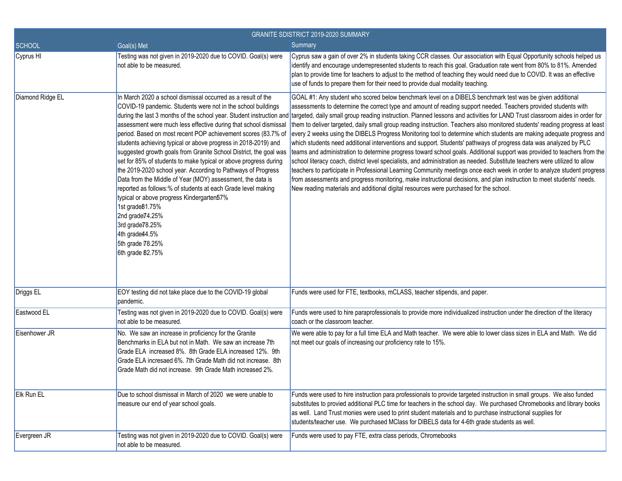| <b>GRANITE SDISTRICT 2019-2020 SUMMARY</b> |                                                                                                                                                                                                                                                                                                                                                                                                                                                                                                                                                                                                                                                                                                                                                                                                                                               |                                                                                                                                                                                                                                                                                                                                                                                                                                                                                                                                                                                                                                                                                                                                                                                                                                                                                                                                                                                                                                                                                                                                                                                                                                                                                                                                                                                                                      |
|--------------------------------------------|-----------------------------------------------------------------------------------------------------------------------------------------------------------------------------------------------------------------------------------------------------------------------------------------------------------------------------------------------------------------------------------------------------------------------------------------------------------------------------------------------------------------------------------------------------------------------------------------------------------------------------------------------------------------------------------------------------------------------------------------------------------------------------------------------------------------------------------------------|----------------------------------------------------------------------------------------------------------------------------------------------------------------------------------------------------------------------------------------------------------------------------------------------------------------------------------------------------------------------------------------------------------------------------------------------------------------------------------------------------------------------------------------------------------------------------------------------------------------------------------------------------------------------------------------------------------------------------------------------------------------------------------------------------------------------------------------------------------------------------------------------------------------------------------------------------------------------------------------------------------------------------------------------------------------------------------------------------------------------------------------------------------------------------------------------------------------------------------------------------------------------------------------------------------------------------------------------------------------------------------------------------------------------|
| <b>SCHOOL</b>                              | Goal(s) Met                                                                                                                                                                                                                                                                                                                                                                                                                                                                                                                                                                                                                                                                                                                                                                                                                                   | Summary                                                                                                                                                                                                                                                                                                                                                                                                                                                                                                                                                                                                                                                                                                                                                                                                                                                                                                                                                                                                                                                                                                                                                                                                                                                                                                                                                                                                              |
| Cyprus HI                                  | Testing was not given in 2019-2020 due to COVID. Goal(s) were<br>not able to be measured.                                                                                                                                                                                                                                                                                                                                                                                                                                                                                                                                                                                                                                                                                                                                                     | Cyprus saw a gain of over 2% in students taking CCR classes. Our association with Equal Opportunity schools helped us<br>identify and encourage underrepresented students to reach this goal. Graduation rate went from 80% to 81%. Amended<br>plan to provide time for teachers to adjust to the method of teaching they would need due to COVID. It was an effective<br>use of funds to prepare them for their need to provide dual modality teaching.                                                                                                                                                                                                                                                                                                                                                                                                                                                                                                                                                                                                                                                                                                                                                                                                                                                                                                                                                             |
| Diamond Ridge EL                           | In March 2020 a school dismissal occurred as a result of the<br>COVID-19 pandemic. Students were not in the school buildings<br>assessment were much less effective during that school dismissal<br>period. Based on most recent POP achievement scores (83.7% of<br>students achieving typical or above progress in 2018-2019) and<br>suggested growth goals from Granite School District, the goal was<br>set for 85% of students to make typical or above progress during<br>the 2019-2020 school year. According to Pathways of Progress<br>Data from the Middle of Year (MOY) assessment, the data is<br>reported as follows:% of students at each Grade level making<br>typical or above progress Kindergarten57%<br>1st grade 81.75%<br>2nd grade 74.25%<br>3rd grade 78.25%<br>4th grade44.5%<br>5th grade 78.25%<br>6th grade 82.75% | GOAL #1: Any student who scored below benchmark level on a DIBELS benchmark test was be given additional<br>assessments to determine the correct type and amount of reading support needed. Teachers provided students with<br>during the last 3 months of the school year. Student instruction and targeted, daily small group reading instruction. Planned lessons and activities for LAND Trust classroom aides in order for<br>them to deliver targeted, daily small group reading instruction. Teachers also monitored students' reading progress at least<br>every 2 weeks using the DIBELS Progress Monitoring tool to determine which students are making adequate progress and<br>which students need additional interventions and support. Students' pathways of progress data was analyzed by PLC<br>teams and administration to determine progress toward school goals. Additional support was provided to teachers from the<br>school literacy coach, district level specialists, and administration as needed. Substitute teachers were utilized to allow<br>teachers to participate in Professional Learning Community meetings once each week in order to analyze student progress<br>from assessments and progress monitoring, make instructional decisions, and plan instruction to meet students' needs.<br>New reading materials and additional digital resources were purchased for the school. |
| Driggs EL                                  | EOY testing did not take place due to the COVID-19 global<br>pandemic.                                                                                                                                                                                                                                                                                                                                                                                                                                                                                                                                                                                                                                                                                                                                                                        | Funds were used for FTE, textbooks, mCLASS, teacher stipends, and paper.                                                                                                                                                                                                                                                                                                                                                                                                                                                                                                                                                                                                                                                                                                                                                                                                                                                                                                                                                                                                                                                                                                                                                                                                                                                                                                                                             |
| Eastwood EL                                | Testing was not given in 2019-2020 due to COVID. Goal(s) were<br>not able to be measured.                                                                                                                                                                                                                                                                                                                                                                                                                                                                                                                                                                                                                                                                                                                                                     | Funds were used to hire paraprofessionals to provide more individualized instruction under the direction of the literacy<br>coach or the classroom teacher.                                                                                                                                                                                                                                                                                                                                                                                                                                                                                                                                                                                                                                                                                                                                                                                                                                                                                                                                                                                                                                                                                                                                                                                                                                                          |
| Eisenhower JR                              | No. We saw an increase in proficiency for the Granite<br>Benchmarks in ELA but not in Math. We saw an increase 7th<br>Grade ELA increased 8%. 8th Grade ELA increased 12%. 9th<br>Grade ELA incresaed 6%. 7th Grade Math did not increase. 8th<br>Grade Math did not increase. 9th Grade Math increased 2%.                                                                                                                                                                                                                                                                                                                                                                                                                                                                                                                                   | We were able to pay for a full time ELA and Math teacher. We were able to lower class sizes in ELA and Math. We did<br>not meet our goals of increasing our proficiency rate to 15%.                                                                                                                                                                                                                                                                                                                                                                                                                                                                                                                                                                                                                                                                                                                                                                                                                                                                                                                                                                                                                                                                                                                                                                                                                                 |
| Elk Run EL                                 | Due to school dismissal in March of 2020 we were unable to<br>measure our end of year school goals.                                                                                                                                                                                                                                                                                                                                                                                                                                                                                                                                                                                                                                                                                                                                           | Funds were used to hire instruction para professionals to provide targeted instruction in small groups. We also funded<br>substitutes to provied additional PLC time for teachers in the school day. We purchased Chromebooks and library books<br>as well. Land Trust monies were used to print student materials and to purchase instructional supplies for<br>students/teacher use. We purchased MClass for DIBELS data for 4-6th grade students as well.                                                                                                                                                                                                                                                                                                                                                                                                                                                                                                                                                                                                                                                                                                                                                                                                                                                                                                                                                         |
| Evergreen JR                               | Testing was not given in 2019-2020 due to COVID. Goal(s) were<br>not able to be measured.                                                                                                                                                                                                                                                                                                                                                                                                                                                                                                                                                                                                                                                                                                                                                     | Funds were used to pay FTE, extra class periods, Chromebooks                                                                                                                                                                                                                                                                                                                                                                                                                                                                                                                                                                                                                                                                                                                                                                                                                                                                                                                                                                                                                                                                                                                                                                                                                                                                                                                                                         |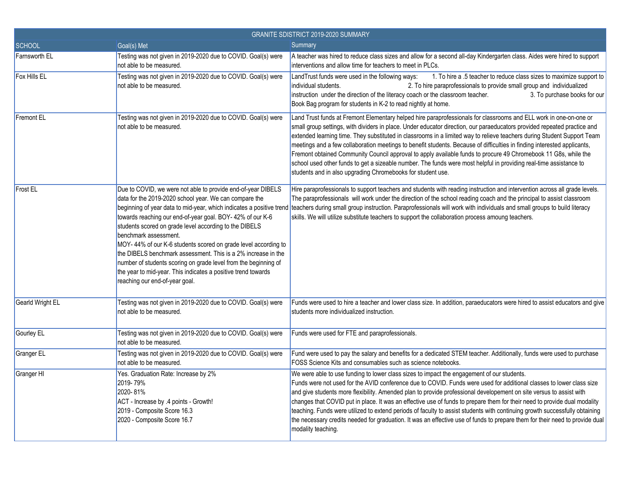| <b>GRANITE SDISTRICT 2019-2020 SUMMARY</b> |                                                                                                                                                                                                                                                                                                                                                                                                                                                                                                                                                                                   |                                                                                                                                                                                                                                                                                                                                                                                                                                                                                                                                                                                                                                                                                                                                                                                                              |
|--------------------------------------------|-----------------------------------------------------------------------------------------------------------------------------------------------------------------------------------------------------------------------------------------------------------------------------------------------------------------------------------------------------------------------------------------------------------------------------------------------------------------------------------------------------------------------------------------------------------------------------------|--------------------------------------------------------------------------------------------------------------------------------------------------------------------------------------------------------------------------------------------------------------------------------------------------------------------------------------------------------------------------------------------------------------------------------------------------------------------------------------------------------------------------------------------------------------------------------------------------------------------------------------------------------------------------------------------------------------------------------------------------------------------------------------------------------------|
| <b>SCHOOL</b>                              | Goal(s) Met                                                                                                                                                                                                                                                                                                                                                                                                                                                                                                                                                                       | Summary                                                                                                                                                                                                                                                                                                                                                                                                                                                                                                                                                                                                                                                                                                                                                                                                      |
| <b>Farnsworth EL</b>                       | Testing was not given in 2019-2020 due to COVID. Goal(s) were<br>not able to be measured.                                                                                                                                                                                                                                                                                                                                                                                                                                                                                         | A teacher was hired to reduce class sizes and allow for a second all-day Kindergarten class. Aides were hired to support<br>interventions and allow time for teachers to meet in PLCs.                                                                                                                                                                                                                                                                                                                                                                                                                                                                                                                                                                                                                       |
| Fox Hills EL                               | Testing was not given in 2019-2020 due to COVID. Goal(s) were<br>not able to be measured.                                                                                                                                                                                                                                                                                                                                                                                                                                                                                         | LandTrust funds were used in the following ways:<br>1. To hire a .5 teacher to reduce class sizes to maximize support to<br>individual students.<br>2. To hire paraprofessionals to provide small group and individualized<br>instruction under the direction of the literacy coach or the classroom teacher.<br>3. To purchase books for our<br>Book Bag program for students in K-2 to read nightly at home.                                                                                                                                                                                                                                                                                                                                                                                               |
| <b>Fremont EL</b>                          | Testing was not given in 2019-2020 due to COVID. Goal(s) were<br>not able to be measured.                                                                                                                                                                                                                                                                                                                                                                                                                                                                                         | Land Trust funds at Fremont Elementary helped hire paraprofessionals for classrooms and ELL work in one-on-one or<br>small group settings, with dividers in place. Under educator direction, our paraeducators provided repeated practice and<br>extended learning time. They substituted in classrooms in a limited way to relieve teachers during Student Support Team<br>meetings and a few collaboration meetings to benefit students. Because of difficulties in finding interested applicants,<br>Fremont obtained Community Council approval to apply available funds to procure 49 Chromebook 11 G8s, while the<br>school used other funds to get a sizeable number. The funds were most helpful in providing real-time assistance to<br>students and in also upgrading Chromebooks for student use. |
| <b>Frost EL</b>                            | Due to COVID, we were not able to provide end-of-year DIBELS<br>data for the 2019-2020 school year. We can compare the<br>towards reaching our end-of-year goal. BOY- 42% of our K-6<br>students scored on grade level according to the DIBELS<br>benchmark assessment.<br>MOY- 44% of our K-6 students scored on grade level according to<br>the DIBELS benchmark assessment. This is a 2% increase in the<br>number of students scoring on grade level from the beginning of<br>the year to mid-year. This indicates a positive trend towards<br>reaching our end-of-year goal. | Hire paraprofessionals to support teachers and students with reading instruction and intervention across all grade levels.<br>The paraprofessionals will work under the direction of the school reading coach and the principal to assist classroom<br>beginning of year data to mid-year, which indicates a positive trend teachers during small group instruction. Paraprofessionals will work with individuals and small groups to build literacy<br>skills. We will utilize substitute teachers to support the collaboration process amoung teachers.                                                                                                                                                                                                                                                    |
| Gearld Wright EL                           | Testing was not given in 2019-2020 due to COVID. Goal(s) were<br>not able to be measured.                                                                                                                                                                                                                                                                                                                                                                                                                                                                                         | Funds were used to hire a teacher and lower class size. In addition, paraeducators were hired to assist educators and give<br>students more individualized instruction.                                                                                                                                                                                                                                                                                                                                                                                                                                                                                                                                                                                                                                      |
| Gourley EL                                 | Testing was not given in 2019-2020 due to COVID. Goal(s) were<br>not able to be measured.                                                                                                                                                                                                                                                                                                                                                                                                                                                                                         | Funds were used for FTE and paraprofessionals.                                                                                                                                                                                                                                                                                                                                                                                                                                                                                                                                                                                                                                                                                                                                                               |
| Granger EL                                 | Testing was not given in 2019-2020 due to COVID. Goal(s) were<br>not able to be measured.                                                                                                                                                                                                                                                                                                                                                                                                                                                                                         | Fund were used to pay the salary and benefits for a dedicated STEM teacher. Additionally, funds were used to purchase<br>FOSS Science Kits and consumables such as science notebooks.                                                                                                                                                                                                                                                                                                                                                                                                                                                                                                                                                                                                                        |
| Granger HI                                 | Yes. Graduation Rate: Increase by 2%<br>2019-79%<br>2020-81%<br>ACT - Increase by .4 points - Growth!<br>2019 - Composite Score 16.3<br>2020 - Composite Score 16.7                                                                                                                                                                                                                                                                                                                                                                                                               | We were able to use funding to lower class sizes to impact the engagement of our students.<br>Funds were not used for the AVID conference due to COVID. Funds were used for additional classes to lower class size<br>and give students more flexibility. Amended plan to provide professional developement on site versus to assist with<br>changes that COVID put in place. It was an effective use of funds to prepare them for their need to provide dual modality<br>teaching. Funds were utilized to extend periods of faculty to assist students with continuing growth successfully obtaining<br>the necessary credits needed for graduation. It was an effective use of funds to prepare them for their need to provide dual<br>modality teaching.                                                  |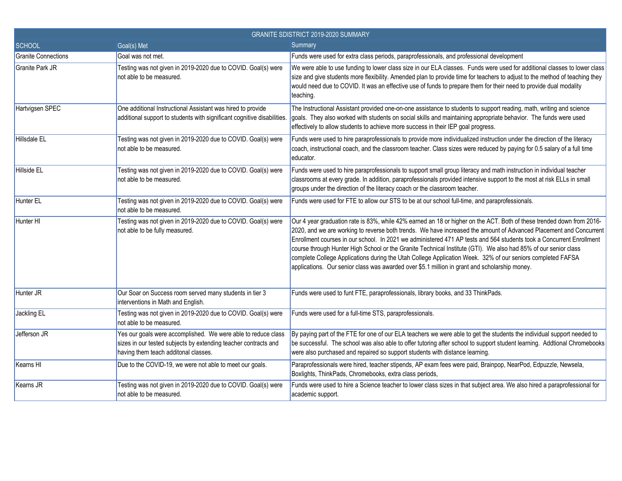| <b>GRANITE SDISTRICT 2019-2020 SUMMARY</b> |                                                                                                                                                                          |                                                                                                                                                                                                                                                                                                                                                                                                                                                                                                                                                                                                                                                                                                       |
|--------------------------------------------|--------------------------------------------------------------------------------------------------------------------------------------------------------------------------|-------------------------------------------------------------------------------------------------------------------------------------------------------------------------------------------------------------------------------------------------------------------------------------------------------------------------------------------------------------------------------------------------------------------------------------------------------------------------------------------------------------------------------------------------------------------------------------------------------------------------------------------------------------------------------------------------------|
| <b>SCHOOL</b>                              | Goal(s) Met                                                                                                                                                              | Summary                                                                                                                                                                                                                                                                                                                                                                                                                                                                                                                                                                                                                                                                                               |
| <b>Granite Connections</b>                 | Goal was not met.                                                                                                                                                        | Funds were used for extra class periods, paraprofessionals, and professional development                                                                                                                                                                                                                                                                                                                                                                                                                                                                                                                                                                                                              |
| <b>Granite Park JR</b>                     | Testing was not given in 2019-2020 due to COVID. Goal(s) were<br>not able to be measured.                                                                                | We were able to use funding to lower class size in our ELA classes. Funds were used for additional classes to lower class<br>size and give students more flexibility. Amended plan to provide time for teachers to adjust to the method of teaching they<br>would need due to COVID. It was an effective use of funds to prepare them for their need to provide dual modality<br>teaching.                                                                                                                                                                                                                                                                                                            |
| Hartvigsen SPEC                            | One additional Instructional Assistant was hired to provide<br>additional support to students with significant cognitive disabilities.                                   | The Instructional Assistant provided one-on-one assistance to students to support reading, math, writing and science<br>goals. They also worked with students on social skills and maintaining appropriate behavior. The funds were used<br>effectively to allow students to achieve more success in their IEP goal progress.                                                                                                                                                                                                                                                                                                                                                                         |
| <b>Hillsdale EL</b>                        | Testing was not given in 2019-2020 due to COVID. Goal(s) were<br>not able to be measured.                                                                                | Funds were used to hire paraprofessionals to provide more individualized instruction under the direction of the literacy<br>coach, instructional coach, and the classroom teacher. Class sizes were reduced by paying for 0.5 salary of a full time<br>educator.                                                                                                                                                                                                                                                                                                                                                                                                                                      |
| Hillside EL                                | Testing was not given in 2019-2020 due to COVID. Goal(s) were<br>not able to be measured.                                                                                | Funds were used to hire paraprofessionals to support small group literacy and math instruction in individual teacher<br>classrooms at every grade. In addition, paraprofessionals provided intensive support to the most at risk ELLs in small<br>groups under the direction of the literacy coach or the classroom teacher.                                                                                                                                                                                                                                                                                                                                                                          |
| <b>Hunter EL</b>                           | Testing was not given in 2019-2020 due to COVID. Goal(s) were<br>not able to be measured.                                                                                | Funds were used for FTE to allow our STS to be at our school full-time, and paraprofessionals.                                                                                                                                                                                                                                                                                                                                                                                                                                                                                                                                                                                                        |
| Hunter HI                                  | Testing was not given in 2019-2020 due to COVID. Goal(s) were<br>not able to be fully measured.                                                                          | Our 4 year graduation rate is 83%, while 42% earned an 18 or higher on the ACT. Both of these trended down from 2016-<br>2020, and we are working to reverse both trends. We have increased the amount of Advanced Placement and Concurrent<br>Enrollment courses in our school. In 2021 we administered 471 AP tests and 564 students took a Concurrent Enrollment<br>course through Hunter High School or the Granite Technical Institute (GTI). We also had 85% of our senior class<br>complete College Applications during the Utah College Application Week. 32% of our seniors completed FAFSA<br>applications. Our senior class was awarded over \$5.1 million in grant and scholarship money. |
| Hunter JR                                  | Our Soar on Success room served many students in tier 3<br>interventions in Math and English.                                                                            | Funds were used to funt FTE, paraprofessionals, library books, and 33 ThinkPads.                                                                                                                                                                                                                                                                                                                                                                                                                                                                                                                                                                                                                      |
| Jackling EL                                | Testing was not given in 2019-2020 due to COVID. Goal(s) were<br>not able to be measured.                                                                                | Funds were used for a full-time STS, paraprofessionals.                                                                                                                                                                                                                                                                                                                                                                                                                                                                                                                                                                                                                                               |
| Jefferson JR                               | Yes our goals were accomplished. We were able to reduce class<br>sizes in our tested subjects by extending teacher contracts and<br>having them teach additonal classes. | By paying part of the FTE for one of our ELA teachers we were able to get the students the individual support needed to<br>be successful. The school was also able to offer tutoring after school to support student learning. Addtional Chromebooks<br>were also purchased and repaired so support students with distance learning.                                                                                                                                                                                                                                                                                                                                                                  |
| Kearns HI                                  | Due to the COVID-19, we were not able to meet our goals.                                                                                                                 | Paraprofessionals were hired, teacher stipends, AP exam fees were paid, Brainpop, NearPod, Edpuzzle, Newsela,<br>Boxlights, ThinkPads, Chromebooks, extra class periods,                                                                                                                                                                                                                                                                                                                                                                                                                                                                                                                              |
| Kearns JR                                  | Testing was not given in 2019-2020 due to COVID. Goal(s) were<br>not able to be measured.                                                                                | Funds were used to hire a Science teacher to lower class sizes in that subject area. We also hired a paraprofessional for<br>academic support.                                                                                                                                                                                                                                                                                                                                                                                                                                                                                                                                                        |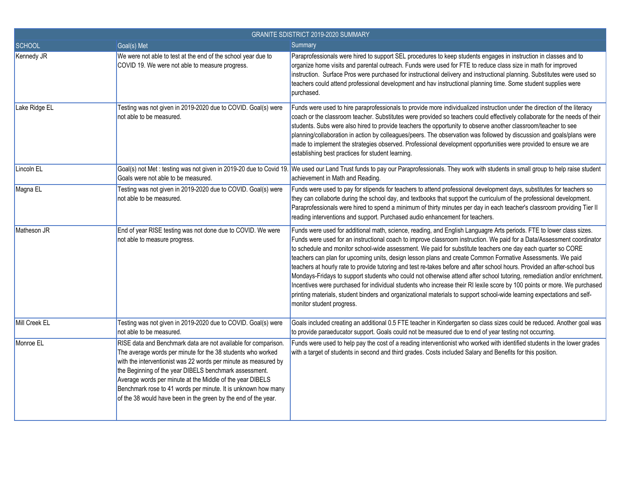| GRANITE SDISTRICT 2019-2020 SUMMARY |                                                                                                                                                                                                                                                                                                                                                                                                                                                            |                                                                                                                                                                                                                                                                                                                                                                                                                                                                                                                                                                                                                                                                                                                                                                                                                                                                                                                                                                                                                           |
|-------------------------------------|------------------------------------------------------------------------------------------------------------------------------------------------------------------------------------------------------------------------------------------------------------------------------------------------------------------------------------------------------------------------------------------------------------------------------------------------------------|---------------------------------------------------------------------------------------------------------------------------------------------------------------------------------------------------------------------------------------------------------------------------------------------------------------------------------------------------------------------------------------------------------------------------------------------------------------------------------------------------------------------------------------------------------------------------------------------------------------------------------------------------------------------------------------------------------------------------------------------------------------------------------------------------------------------------------------------------------------------------------------------------------------------------------------------------------------------------------------------------------------------------|
| <b>SCHOOL</b>                       | Goal(s) Met                                                                                                                                                                                                                                                                                                                                                                                                                                                | Summary                                                                                                                                                                                                                                                                                                                                                                                                                                                                                                                                                                                                                                                                                                                                                                                                                                                                                                                                                                                                                   |
| Kennedy JR                          | We were not able to test at the end of the school year due to<br>COVID 19. We were not able to measure progress.                                                                                                                                                                                                                                                                                                                                           | Paraprofessionals were hired to support SEL procedures to keep students engages in instruction in classes and to<br>organize home visits and parental outreach. Funds were used for FTE to reduce class size in math for improved<br>instruction. Surface Pros were purchased for instructional delivery and instructional planning. Substitutes were used so<br>teachers could attend professional development and hav instructional planning time. Some student supplies were<br>purchased.                                                                                                                                                                                                                                                                                                                                                                                                                                                                                                                             |
| Lake Ridge EL                       | Testing was not given in 2019-2020 due to COVID. Goal(s) were<br>not able to be measured.                                                                                                                                                                                                                                                                                                                                                                  | Funds were used to hire paraprofessionals to provide more individualized instruction under the direction of the literacy<br>coach or the classroom teacher. Substitutes were provided so teachers could effectively collaborate for the needs of their<br>students. Subs were also hired to provide teachers the opportunity to observe another classroom/teacher to see<br>planning/collaboration in action by colleagues/peers. The observation was followed by discussion and goals/plans were<br>made to implement the strategies observed. Professional development opportunities were provided to ensure we are<br>establishing best practices for student learning.                                                                                                                                                                                                                                                                                                                                                |
| Lincoln EL                          | Goals were not able to be measured.                                                                                                                                                                                                                                                                                                                                                                                                                        | Goal(s) not Met : testing was not given in 2019-20 due to Covid 19. We used our Land Trust funds to pay our Paraprofessionals. They work with students in small group to help raise student<br>achievement in Math and Reading.                                                                                                                                                                                                                                                                                                                                                                                                                                                                                                                                                                                                                                                                                                                                                                                           |
| Magna EL                            | Testing was not given in 2019-2020 due to COVID. Goal(s) were<br>not able to be measured.                                                                                                                                                                                                                                                                                                                                                                  | Funds were used to pay for stipends for teachers to attend professional development days, substitutes for teachers so<br>they can collaborte during the school day, and textbooks that support the curriculum of the professional development.<br>Paraprofessionals were hired to spend a minimum of thirty minutes per day in each teacher's classroom providing Tier II<br>reading interventions and support. Purchased audio enhancement for teachers.                                                                                                                                                                                                                                                                                                                                                                                                                                                                                                                                                                 |
| Matheson JR                         | End of year RISE testing was not done due to COVID. We were<br>not able to measure progress.                                                                                                                                                                                                                                                                                                                                                               | Funds were used for additional math, science, reading, and English Languagre Arts periods. FTE to lower class sizes.<br>Funds were used for an instructional coach to improve classroom instruction. We paid for a Data/Assessment coordinator<br>to schedule and monitor school-wide assessment. We paid for substitute teachers one day each quarter so CORE<br>teachers can plan for upcoming units, design lesson plans and create Common Formative Assessments. We paid<br>teachers at hourly rate to provide tutoring and test re-takes before and after school hours. Provided an after-school bus<br>Mondays-Fridays to support students who could not otherwise attend after school tutoring, remediation and/or enrichment.<br>Incentives were purchased for individual students who increase their RI lexile score by 100 points or more. We purchased<br>printing materials, student binders and organizational materials to support school-wide learning expectations and self-<br>monitor student progress. |
| Mill Creek EL                       | Testing was not given in 2019-2020 due to COVID. Goal(s) were<br>not able to be measured.                                                                                                                                                                                                                                                                                                                                                                  | Goals included creating an additional 0.5 FTE teacher in Kindergarten so class sizes could be reduced. Another goal was<br>to provide paraeducator support. Goals could not be measured due to end of year testing not occurring.                                                                                                                                                                                                                                                                                                                                                                                                                                                                                                                                                                                                                                                                                                                                                                                         |
| Monroe EL                           | RISE data and Benchmark data are not available for comparison.<br>The average words per minute for the 38 students who worked<br>with the interventionist was 22 words per minute as measured by<br>the Beginning of the year DIBELS benchmark assessment.<br>Average words per minute at the Middle of the year DIBELS<br>Benchmark rose to 41 words per minute. It is unknown how many<br>of the 38 would have been in the green by the end of the year. | Funds were used to help pay the cost of a reading interventionist who worked with identified students in the lower grades<br>with a target of students in second and third grades. Costs included Salary and Benefits for this position.                                                                                                                                                                                                                                                                                                                                                                                                                                                                                                                                                                                                                                                                                                                                                                                  |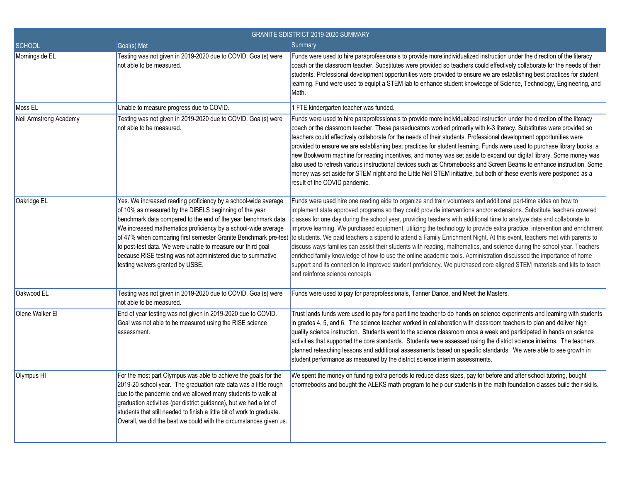| <b>GRANITE SDISTRICT 2019-2020 SUMMARY</b> |                                                                                                                                                                                                                                                                                                                                                                                                                              |                                                                                                                                                                                                                                                                                                                                                                                                                                                                                                                                                                                                                                                                                                                                                                                                                                                                                                                                                                                                                                                                                                          |
|--------------------------------------------|------------------------------------------------------------------------------------------------------------------------------------------------------------------------------------------------------------------------------------------------------------------------------------------------------------------------------------------------------------------------------------------------------------------------------|----------------------------------------------------------------------------------------------------------------------------------------------------------------------------------------------------------------------------------------------------------------------------------------------------------------------------------------------------------------------------------------------------------------------------------------------------------------------------------------------------------------------------------------------------------------------------------------------------------------------------------------------------------------------------------------------------------------------------------------------------------------------------------------------------------------------------------------------------------------------------------------------------------------------------------------------------------------------------------------------------------------------------------------------------------------------------------------------------------|
| SCHOOL                                     | Goal(s) Met                                                                                                                                                                                                                                                                                                                                                                                                                  | Summary                                                                                                                                                                                                                                                                                                                                                                                                                                                                                                                                                                                                                                                                                                                                                                                                                                                                                                                                                                                                                                                                                                  |
| Morningside EL                             | Testing was not given in 2019-2020 due to COVID. Goal(s) were<br>not able to be measured.                                                                                                                                                                                                                                                                                                                                    | Funds were used to hire paraprofessionals to provide more individualized instruction under the direction of the literacy<br>coach or the classroom teacher. Substitutes were provided so teachers could effectively collaborate for the needs of their<br>students. Professional development opportunities were provided to ensure we are establishing best practices for student<br>learning. Fund were used to equipt a STEM lab to enhance student knowledge of Science, Technology, Engineering, and<br>Math.                                                                                                                                                                                                                                                                                                                                                                                                                                                                                                                                                                                        |
| Moss EL                                    | Unable to measure progress due to COVID.                                                                                                                                                                                                                                                                                                                                                                                     | 1 FTE kindergarten teacher was funded.                                                                                                                                                                                                                                                                                                                                                                                                                                                                                                                                                                                                                                                                                                                                                                                                                                                                                                                                                                                                                                                                   |
| Neil Armstrong Academy                     | Testing was not given in 2019-2020 due to COVID. Goal(s) were<br>not able to be measured.                                                                                                                                                                                                                                                                                                                                    | Funds were used to hire paraprofessionals to provide more individualized instruction under the direction of the literacy<br>coach or the classroom teacher. These paraeducators worked primarily with k-3 literacy. Substitutes were provided so<br>teachers could effectively collaborate for the needs of their students. Professional development opportunities were<br>provided to ensure we are establishing best practices for student learning. Funds were used to purchase library books, a<br>new Bookworm machine for reading incentives, and money was set aside to expand our digital library. Some money was<br>also used to refresh various instructional devices such as Chromebooks and Screen Beams to enhance instruction. Some<br>money was set aside for STEM night and the Little Neil STEM initiative, but both of these events were postponed as a<br>result of the COVID pandemic.                                                                                                                                                                                               |
| Oakridge EL                                | Yes. We increased reading proficiency by a school-wide average<br>of 10% as measured by the DIBELS beginning of the year<br>benchmark data compared to the end of the year benchmark data.<br>We increased mathematics proficiency by a school-wide average<br>to post-test data. We were unable to measure our third goal<br>because RISE testing was not administered due to summative<br>testing waivers granted by USBE. | Funds were used hire one reading aide to organize and train volunteers and additional part-time aides on how to<br>implement state approved programs so they could provide interventions and/or extensions. Substitute teachers covered<br>classes for one day during the school year, providing teachers with additional time to analyze data and collaborate to<br>improve learning. We purchased equipment, utilizing the technology to provide extra practice, intervention and enrichment<br>of 47% when comparing first semester Granite Benchmark pre-test to students. We paid teachers a stipend to attend a Family Enrichment Night. At this event, teachers met with parents to<br>discuss ways families can assist their students with reading, mathematics, and science during the school year. Teachers<br>enriched family knowledge of how to use the online academic tools. Administration discussed the importance of home<br>support and its connection to improved student proficiency. We purchased core aligned STEM materials and kits to teach<br>and reinforce science concepts. |
| Oakwood EL                                 | Testing was not given in 2019-2020 due to COVID. Goal(s) were<br>not able to be measured.                                                                                                                                                                                                                                                                                                                                    | Funds were used to pay for paraprofessionals, Tanner Dance, and Meet the Masters.                                                                                                                                                                                                                                                                                                                                                                                                                                                                                                                                                                                                                                                                                                                                                                                                                                                                                                                                                                                                                        |
| Olene Walker El                            | End of year testing was not given in 2019-2020 due to COVID.<br>Goal was not able to be measured using the RISE science<br>assessment.                                                                                                                                                                                                                                                                                       | Trust lands funds were used to pay for a part time teacher to do hands on science experiments and learning with students<br>in grades 4, 5, and 6. The science teacher worked in collaboration with classroom teachers to plan and deliver high<br>quality science instruction. Students went to the science classroom once a week and participated in hands on science<br>activities that supported the core standards. Students were assessed using the district science interims. The teachers<br>planned reteaching lessons and additional assessments based on specific standards. We were able to see growth in<br>student performance as measured by the district science interim assessments.                                                                                                                                                                                                                                                                                                                                                                                                    |
| Olympus HI                                 | For the most part Olympus was able to achieve the goals for the<br>2019-20 school year. The graduation rate data was a little rough<br>due to the pandemic and we allowed many students to walk at<br>graduation activities (per district guidance), but we had a lot of<br>students that still needed to finish a little bit of work to graduate.<br>Overall, we did the best we could with the circumstances given us.     | We spent the money on funding extra periods to reduce class sizes, pay for before and after school tutoring, bought<br>chormebooks and bought the ALEKS math program to help our students in the math foundation classes build their skills.                                                                                                                                                                                                                                                                                                                                                                                                                                                                                                                                                                                                                                                                                                                                                                                                                                                             |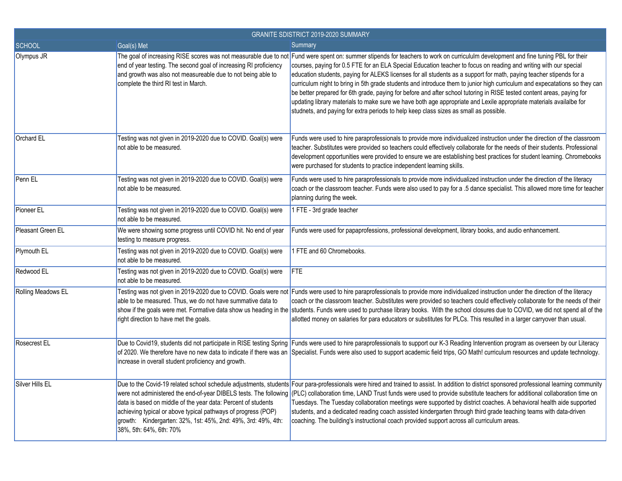| GRANITE SDISTRICT 2019-2020 SUMMARY |                                                                                                                                                                                                                            |                                                                                                                                                                                                                                                                                                                                                                                                                                                                                                                                                                                                                                                                                                                                                                                                                                                                                                        |
|-------------------------------------|----------------------------------------------------------------------------------------------------------------------------------------------------------------------------------------------------------------------------|--------------------------------------------------------------------------------------------------------------------------------------------------------------------------------------------------------------------------------------------------------------------------------------------------------------------------------------------------------------------------------------------------------------------------------------------------------------------------------------------------------------------------------------------------------------------------------------------------------------------------------------------------------------------------------------------------------------------------------------------------------------------------------------------------------------------------------------------------------------------------------------------------------|
| <b>SCHOOL</b>                       | Goal(s) Met                                                                                                                                                                                                                | Summary                                                                                                                                                                                                                                                                                                                                                                                                                                                                                                                                                                                                                                                                                                                                                                                                                                                                                                |
| Olympus JR                          | end of year testing. The second goal of increasing RI proficiency<br>and growth was also not measureable due to not being able to<br>complete the third RI test in March.                                                  | The goal of increasing RISE scores was not measurable due to not Fund were spent on: summer stipends for teachers to work on curricululm development and fine tuning PBL for their<br>courses, paying for 0.5 FTE for an ELA Special Education teacher to focus on reading and writing with our special<br>education students, paying for ALEKS licenses for all students as a support for math, paying teacher stipends for a<br>curriculum night to bring in 5th grade students and introduce them to junior high curriculum and expecatations so they can<br>be better prepared for 6th grade, paying for before and after school tutoring in RISE tested content areas, paying for<br>updating library materials to make sure we have both age appropriate and Lexile appropriate materials availalbe for<br>studnets, and paying for extra periods to help keep class sizes as small as possible. |
| Orchard EL                          | Testing was not given in 2019-2020 due to COVID. Goal(s) were<br>not able to be measured.                                                                                                                                  | Funds were used to hire paraprofessionals to provide more individualized instruction under the direction of the classroom<br>teacher. Substitutes were provided so teachers could effectively collaborate for the needs of their students. Professional<br>development opportunities were provided to ensure we are establishing best practices for student learning. Chromebooks<br>were purchased for students to practice independent learning skills.                                                                                                                                                                                                                                                                                                                                                                                                                                              |
| Penn EL                             | Testing was not given in 2019-2020 due to COVID. Goal(s) were<br>not able to be measured.                                                                                                                                  | Funds were used to hire paraprofessionals to provide more individualized instruction under the direction of the literacy<br>coach or the classroom teacher. Funds were also used to pay for a .5 dance specialist. This allowed more time for teacher<br>planning during the week.                                                                                                                                                                                                                                                                                                                                                                                                                                                                                                                                                                                                                     |
| Pioneer EL                          | Testing was not given in 2019-2020 due to COVID. Goal(s) were<br>not able to be measured.                                                                                                                                  | 1 FTE - 3rd grade teacher                                                                                                                                                                                                                                                                                                                                                                                                                                                                                                                                                                                                                                                                                                                                                                                                                                                                              |
| <b>Pleasant Green EL</b>            | We were showing some progress until COVID hit. No end of year<br>testing to measure progress.                                                                                                                              | Funds were used for papaprofessions, professional development, library books, and audio enhancement.                                                                                                                                                                                                                                                                                                                                                                                                                                                                                                                                                                                                                                                                                                                                                                                                   |
| Plymouth EL                         | Testing was not given in 2019-2020 due to COVID. Goal(s) were<br>not able to be measured.                                                                                                                                  | 1 FTE and 60 Chromebooks.                                                                                                                                                                                                                                                                                                                                                                                                                                                                                                                                                                                                                                                                                                                                                                                                                                                                              |
| Redwood EL                          | Testing was not given in 2019-2020 due to COVID. Goal(s) were<br>not able to be measured.                                                                                                                                  | <b>FTE</b>                                                                                                                                                                                                                                                                                                                                                                                                                                                                                                                                                                                                                                                                                                                                                                                                                                                                                             |
| Rolling Meadows EL                  | able to be measured. Thus, we do not have summative data to<br>right direction to have met the goals.                                                                                                                      | Testing was not given in 2019-2020 due to COVID. Goals were not Funds were used to hire paraprofessionals to provide more individualized instruction under the direction of the literacy<br>coach or the classroom teacher. Substitutes were provided so teachers could effectively collaborate for the needs of their<br>show if the goals were met. Formative data show us heading in the students. Funds were used to purchase library books. With the school closures due to COVID, we did not spend all of the<br>allotted money on salaries for para educators or substitutes for PLCs. This resulted in a larger carryover than usual.                                                                                                                                                                                                                                                          |
| Rosecrest EL                        | increase in overall student proficiency and growth.                                                                                                                                                                        | Due to Covid19, students did not participate in RISE testing Spring Funds were used to hire paraprofessionals to support our K-3 Reading Intervention program as overseen by our Literacy<br>of 2020. We therefore have no new data to indicate if there was an Specialist. Funds were also used to support academic field trips, GO Math! curriculum resources and update technology.                                                                                                                                                                                                                                                                                                                                                                                                                                                                                                                 |
| Silver Hills EL                     | data is based on middle of the year data: Percent of students<br>achieving typical or above typical pathways of progress (POP)<br>growth: Kindergarten: 32%, 1st: 45%, 2nd: 49%, 3rd: 49%, 4th:<br>38%, 5th: 64%, 6th: 70% | Due to the Covid-19 related school schedule adjustments, students Four para-professionals were hired and trained to assist. In addition to district sponsored professional learning community<br>were not administered the end-of-year DIBELS tests. The following (PLC) collaboration time, LAND Trust funds were used to provide substitute teachers for additional collaboration time on<br>Tuesdays. The Tuesday collaboration meetings were supported by district coaches. A behavioral health aide supported<br>students, and a dedicated reading coach assisted kindergarten through third grade teaching teams with data-driven<br>coaching. The building's instructional coach provided support across all curriculum areas.                                                                                                                                                                  |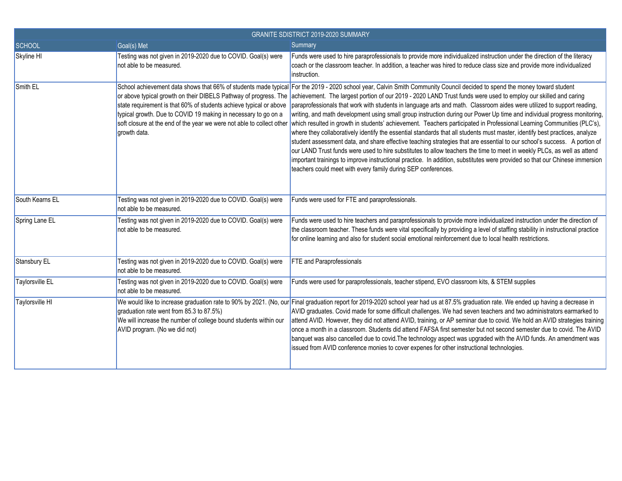| <b>GRANITE SDISTRICT 2019-2020 SUMMARY</b> |                                                                                                                                                      |                                                                                                                                                                                                                                                                                                                                                                                                                                                                                                                                                                                                                                                                                                                                                                                                                                                                                                                                                                                                                                                                                                                                                                                                                                                                                                                                                                                                             |
|--------------------------------------------|------------------------------------------------------------------------------------------------------------------------------------------------------|-------------------------------------------------------------------------------------------------------------------------------------------------------------------------------------------------------------------------------------------------------------------------------------------------------------------------------------------------------------------------------------------------------------------------------------------------------------------------------------------------------------------------------------------------------------------------------------------------------------------------------------------------------------------------------------------------------------------------------------------------------------------------------------------------------------------------------------------------------------------------------------------------------------------------------------------------------------------------------------------------------------------------------------------------------------------------------------------------------------------------------------------------------------------------------------------------------------------------------------------------------------------------------------------------------------------------------------------------------------------------------------------------------------|
| SCHOOL                                     | Goal(s) Met                                                                                                                                          | Summary                                                                                                                                                                                                                                                                                                                                                                                                                                                                                                                                                                                                                                                                                                                                                                                                                                                                                                                                                                                                                                                                                                                                                                                                                                                                                                                                                                                                     |
| Skyline HI                                 | Testing was not given in 2019-2020 due to COVID. Goal(s) were<br>not able to be measured.                                                            | Funds were used to hire paraprofessionals to provide more individualized instruction under the direction of the literacy<br>coach or the classroom teacher. In addition, a teacher was hired to reduce class size and provide more individualized<br>instruction.                                                                                                                                                                                                                                                                                                                                                                                                                                                                                                                                                                                                                                                                                                                                                                                                                                                                                                                                                                                                                                                                                                                                           |
| Smith EL                                   | state requirement is that 60% of students achieve typical or above<br>typical growth. Due to COVID 19 making in necessary to go on a<br>growth data. | School achievement data shows that 66% of students made typical For the 2019 - 2020 school year, Calvin Smith Community Council decided to spend the money toward student<br>or above typical growth on their DIBELS Pathway of progress. The  achievement. The largest portion of our 2019 - 2020 LAND Trust funds were used to employ our skilled and caring<br>paraprofessionals that work with students in language arts and math. Classroom aides were utilized to support reading,<br>writing, and math development using small group instruction during our Power Up time and individual progress monitoring,<br>soft closure at the end of the year we were not able to collect other which resulted in growth in students' achievement. Teachers participated in Professional Learning Communities (PLC's),<br>where they collaboratively identify the essential standards that all students must master, identify best practices, analyze<br>student assessment data, and share effective teaching strategies that are essential to our school's success. A portion of<br>our LAND Trust funds were used to hire substitutes to allow teachers the time to meet in weekly PLCs, as well as attend<br>important trainings to improve instructional practice. In addition, substitutes were provided so that our Chinese immersion<br>teachers could meet with every family during SEP conferences. |
| South Kearns EL                            | Testing was not given in 2019-2020 due to COVID. Goal(s) were<br>not able to be measured.                                                            | Funds were used for FTE and paraprofessionals.                                                                                                                                                                                                                                                                                                                                                                                                                                                                                                                                                                                                                                                                                                                                                                                                                                                                                                                                                                                                                                                                                                                                                                                                                                                                                                                                                              |
| Spring Lane EL                             | Testing was not given in 2019-2020 due to COVID. Goal(s) were<br>not able to be measured.                                                            | Funds were used to hire teachers and paraprofessionals to provide more individualized instruction under the direction of<br>the classroom teacher. These funds were vital specifically by providing a level of staffing stability in instructional practice<br>for online learning and also for student social emotional reinforcement due to local health restrictions.                                                                                                                                                                                                                                                                                                                                                                                                                                                                                                                                                                                                                                                                                                                                                                                                                                                                                                                                                                                                                                    |
| Stansbury EL                               | Testing was not given in 2019-2020 due to COVID. Goal(s) were<br>not able to be measured.                                                            | FTE and Paraprofessionals                                                                                                                                                                                                                                                                                                                                                                                                                                                                                                                                                                                                                                                                                                                                                                                                                                                                                                                                                                                                                                                                                                                                                                                                                                                                                                                                                                                   |
| Taylorsville EL                            | Testing was not given in 2019-2020 due to COVID. Goal(s) were<br>not able to be measured.                                                            | Funds were used for paraprofessionals, teacher stipend, EVO classroom kits, & STEM supplies                                                                                                                                                                                                                                                                                                                                                                                                                                                                                                                                                                                                                                                                                                                                                                                                                                                                                                                                                                                                                                                                                                                                                                                                                                                                                                                 |
| Taylorsville HI                            | graduation rate went from 85.3 to 87.5%)<br>We will increase the number of college bound students within our<br>AVID program. (No we did not)        | We would like to increase graduation rate to 90% by 2021. (No, our Final graduation report for 2019-2020 school year had us at 87.5% graduation rate. We ended up having a decrease in<br>AVID graduates. Covid made for some difficult challenges. We had seven teachers and two administrators earmarked to<br>attend AVID. However, they did not attend AVID, training, or AP seminar due to covid. We hold an AVID strategies training<br>once a month in a classroom. Students did attend FAFSA first semester but not second semester due to covid. The AVID<br>banquet was also cancelled due to covid. The technology aspect was upgraded with the AVID funds. An amendment was<br>issued from AVID conference monies to cover expenes for other instructional technologies.                                                                                                                                                                                                                                                                                                                                                                                                                                                                                                                                                                                                                        |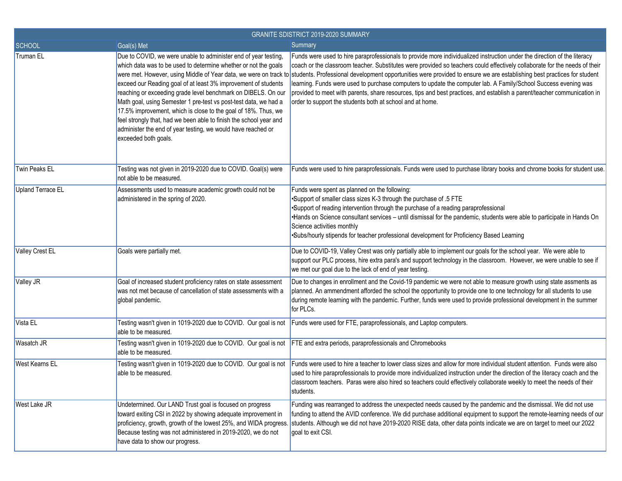| <b>GRANITE SDISTRICT 2019-2020 SUMMARY</b> |                                                                                                                                                                                                                                                                                                                                                                                                                                                                                                                                                                           |                                                                                                                                                                                                                                                                                                                                                                                                                                                                                                                                                                                                                                                                                                                                                                 |
|--------------------------------------------|---------------------------------------------------------------------------------------------------------------------------------------------------------------------------------------------------------------------------------------------------------------------------------------------------------------------------------------------------------------------------------------------------------------------------------------------------------------------------------------------------------------------------------------------------------------------------|-----------------------------------------------------------------------------------------------------------------------------------------------------------------------------------------------------------------------------------------------------------------------------------------------------------------------------------------------------------------------------------------------------------------------------------------------------------------------------------------------------------------------------------------------------------------------------------------------------------------------------------------------------------------------------------------------------------------------------------------------------------------|
| <b>SCHOOL</b>                              | Goal(s) Met                                                                                                                                                                                                                                                                                                                                                                                                                                                                                                                                                               | Summary                                                                                                                                                                                                                                                                                                                                                                                                                                                                                                                                                                                                                                                                                                                                                         |
| Truman EL                                  | Due to COVID, we were unable to administer end of year testing,<br>which data was to be used to determine whether or not the goals<br>exceed our Reading goal of at least 3% improvement of students<br>reaching or exceeding grade level benchmark on DIBELS. On our<br>Math goal, using Semester 1 pre-test vs post-test data, we had a<br>17.5% improvement, which is close to the goal of 18%. Thus, we<br>feel strongly that, had we been able to finish the school year and<br>administer the end of year testing, we would have reached or<br>exceeded both goals. | Funds were used to hire paraprofessionals to provide more individualized instruction under the direction of the literacy<br>coach or the classroom teacher. Substitutes were provided so teachers could effectively collaborate for the needs of their<br>were met. However, using Middle of Year data, we were on track to students. Professional development opportunities were provided to ensure we are establishing best practices for student<br>learning. Funds were used to purchase computers to update the computer lab. A Family/School Success evening was<br>provided to meet with parents, share resources, tips and best practices, and establish a parent/teacher communication in<br>order to support the students both at school and at home. |
| Twin Peaks EL                              | Testing was not given in 2019-2020 due to COVID. Goal(s) were<br>not able to be measured.                                                                                                                                                                                                                                                                                                                                                                                                                                                                                 | Funds were used to hire paraprofessionals. Funds were used to purchase library books and chrome books for student use                                                                                                                                                                                                                                                                                                                                                                                                                                                                                                                                                                                                                                           |
| Upland Terrace EL                          | Assessments used to measure academic growth could not be<br>administered in the spring of 2020.                                                                                                                                                                                                                                                                                                                                                                                                                                                                           | Funds were spent as planned on the following:<br>•Support of smaller class sizes K-3 through the purchase of .5 FTE<br>•Support of reading intervention through the purchase of a reading paraprofessional<br>•Hands on Science consultant services - until dismissal for the pandemic, students were able to participate in Hands On<br>Science activities monthly<br>.Subs/hourly stipends for teacher professional development for Proficiency Based Learning                                                                                                                                                                                                                                                                                                |
| <b>Valley Crest EL</b>                     | Goals were partially met.                                                                                                                                                                                                                                                                                                                                                                                                                                                                                                                                                 | Due to COVID-19, Valley Crest was only partially able to implement our goals for the school year. We were able to<br>support our PLC process, hire extra para's and support technology in the classroom. However, we were unable to see if<br>we met our goal due to the lack of end of year testing.                                                                                                                                                                                                                                                                                                                                                                                                                                                           |
| Valley JR                                  | Goal of increased student proficiency rates on state assessment<br>was not met because of cancellation of state assessments with a<br>global pandemic.                                                                                                                                                                                                                                                                                                                                                                                                                    | Due to changes in enrollment and the Covid-19 pandemic we were not able to measure growth using state assments as<br>planned. An ammendment afforded the school the opportunity to provide one to one technology for all students to use<br>during remote learning with the pandemic. Further, funds were used to provide professional development in the summer<br>for PLCs.                                                                                                                                                                                                                                                                                                                                                                                   |
| Vista EL                                   | Testing wasn't given in 1019-2020 due to COVID. Our goal is not<br>able to be measured.                                                                                                                                                                                                                                                                                                                                                                                                                                                                                   | Funds were used for FTE, paraprofessionals, and Laptop computers.                                                                                                                                                                                                                                                                                                                                                                                                                                                                                                                                                                                                                                                                                               |
| <b>Wasatch JR</b>                          | Testing wasn't given in 1019-2020 due to COVID. Our goal is not<br>able to be measured.                                                                                                                                                                                                                                                                                                                                                                                                                                                                                   | <b>FTE</b> and extra periods, paraprofessionals and Chromebooks                                                                                                                                                                                                                                                                                                                                                                                                                                                                                                                                                                                                                                                                                                 |
| <b>West Kearns EL</b>                      | Testing wasn't given in 1019-2020 due to COVID. Our goal is not<br>able to be measured.                                                                                                                                                                                                                                                                                                                                                                                                                                                                                   | Funds were used to hire a teacher to lower class sizes and allow for more individual student attention. Funds were also<br>used to hire paraprofessionals to provide more individualized instruction under the direction of the literacy coach and the<br>classroom teachers. Paras were also hired so teachers could effectively collaborate weekly to meet the needs of their<br>students.                                                                                                                                                                                                                                                                                                                                                                    |
| <b>West Lake JR</b>                        | Undetermined. Our LAND Trust goal is focused on progress<br>toward exiting CSI in 2022 by showing adequate improvement in<br>proficiency, growth, growth of the lowest 25%, and WIDA progress.<br>Because testing was not administered in 2019-2020, we do not<br>have data to show our progress.                                                                                                                                                                                                                                                                         | Funding was rearranged to address the unexpected needs caused by the pandemic and the dismissal. We did not use<br>funding to attend the AVID conference. We did purchase additional equipment to support the remote-learning needs of our<br>students. Although we did not have 2019-2020 RISE data, other data points indicate we are on target to meet our 2022<br>goal to exit CSI.                                                                                                                                                                                                                                                                                                                                                                         |